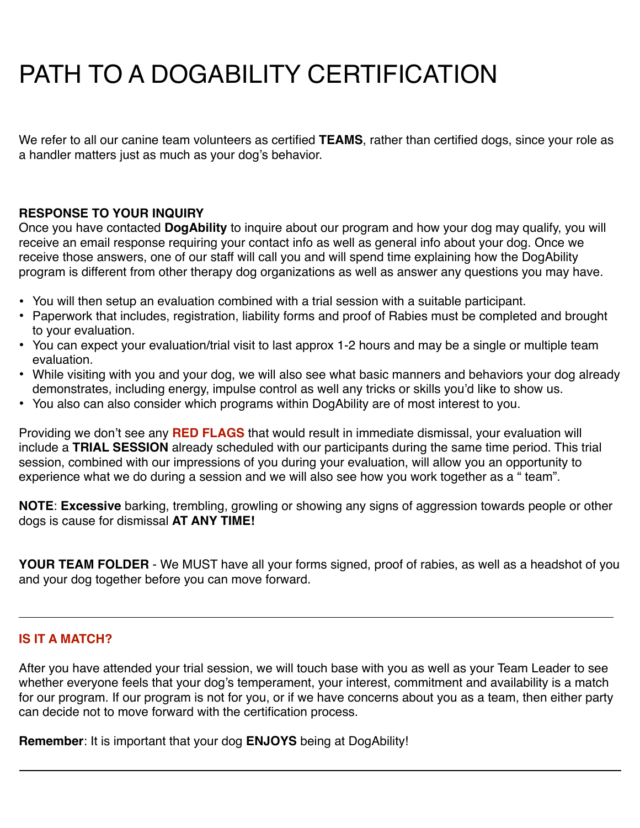# PATH TO A DOGABILITY CERTIFICATION

We refer to all our canine team volunteers as certified **TEAMS**, rather than certified dogs, since your role as a handler matters just as much as your dog's behavior.

# **RESPONSE TO YOUR INQUIRY**

Once you have contacted **DogAbility** to inquire about our program and how your dog may qualify, you will receive an email response requiring your contact info as well as general info about your dog. Once we receive those answers, one of our staff will call you and will spend time explaining how the DogAbility program is different from other therapy dog organizations as well as answer any questions you may have.

- You will then setup an evaluation combined with a trial session with a suitable participant.
- Paperwork that includes, registration, liability forms and proof of Rabies must be completed and brought to your evaluation.
- You can expect your evaluation/trial visit to last approx 1-2 hours and may be a single or multiple team evaluation.
- While visiting with you and your dog, we will also see what basic manners and behaviors your dog already demonstrates, including energy, impulse control as well any tricks or skills you'd like to show us.
- You also can also consider which programs within DogAbility are of most interest to you.

Providing we don't see any **RED FLAGS** that would result in immediate dismissal, your evaluation will include a **TRIAL SESSION** already scheduled with our participants during the same time period. This trial session, combined with our impressions of you during your evaluation, will allow you an opportunity to experience what we do during a session and we will also see how you work together as a " team".

**NOTE**: **Excessive** barking, trembling, growling or showing any signs of aggression towards people or other dogs is cause for dismissal **AT ANY TIME!**

**YOUR TEAM FOLDER** - We MUST have all your forms signed, proof of rabies, as well as a headshot of you and your dog together before you can move forward.

# **IS IT A MATCH?**

After you have attended your trial session, we will touch base with you as well as your Team Leader to see whether everyone feels that your dog's temperament, your interest, commitment and availability is a match for our program. If our program is not for you, or if we have concerns about you as a team, then either party can decide not to move forward with the certification process.

**Remember**: It is important that your dog **ENJOYS** being at DogAbility!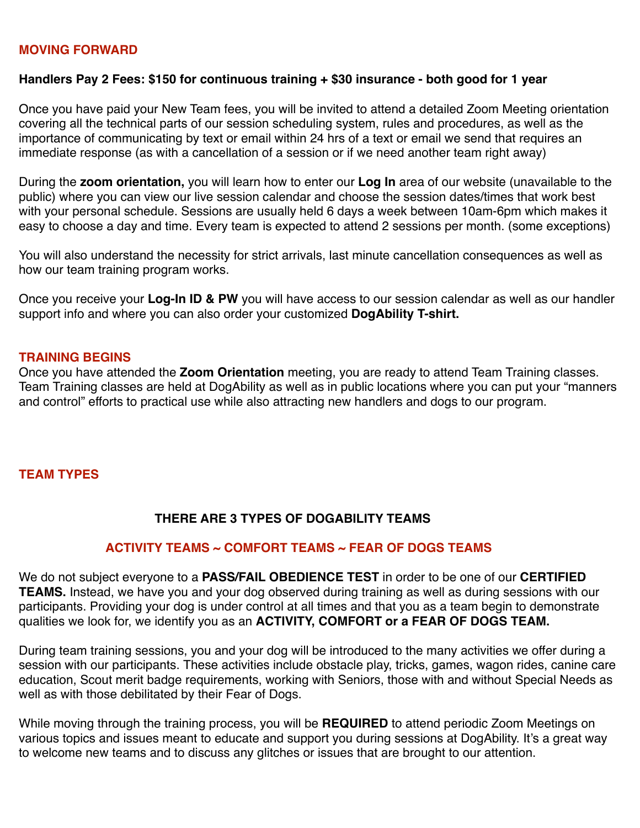# **MOVING FORWARD**

#### **Handlers Pay 2 Fees: \$150 for continuous training + \$30 insurance - both good for 1 year**

Once you have paid your New Team fees, you will be invited to attend a detailed Zoom Meeting orientation covering all the technical parts of our session scheduling system, rules and procedures, as well as the importance of communicating by text or email within 24 hrs of a text or email we send that requires an immediate response (as with a cancellation of a session or if we need another team right away)

During the **zoom orientation,** you will learn how to enter our **Log In** area of our website (unavailable to the public) where you can view our live session calendar and choose the session dates/times that work best with your personal schedule. Sessions are usually held 6 days a week between 10am-6pm which makes it easy to choose a day and time. Every team is expected to attend 2 sessions per month. (some exceptions)

You will also understand the necessity for strict arrivals, last minute cancellation consequences as well as how our team training program works.

Once you receive your **Log-In ID & PW** you will have access to our session calendar as well as our handler support info and where you can also order your customized **DogAbility T-shirt.** 

#### **TRAINING BEGINS**

Once you have attended the **Zoom Orientation** meeting, you are ready to attend Team Training classes. Team Training classes are held at DogAbility as well as in public locations where you can put your "manners and control" efforts to practical use while also attracting new handlers and dogs to our program.

# **TEAM TYPES**

# **THERE ARE 3 TYPES OF DOGABILITY TEAMS**

# **ACTIVITY TEAMS ~ COMFORT TEAMS ~ FEAR OF DOGS TEAMS**

We do not subject everyone to a **PASS/FAIL OBEDIENCE TEST** in order to be one of our **CERTIFIED TEAMS.** Instead, we have you and your dog observed during training as well as during sessions with our participants. Providing your dog is under control at all times and that you as a team begin to demonstrate qualities we look for, we identify you as an **ACTIVITY, COMFORT or a FEAR OF DOGS TEAM.** 

During team training sessions, you and your dog will be introduced to the many activities we offer during a session with our participants. These activities include obstacle play, tricks, games, wagon rides, canine care education, Scout merit badge requirements, working with Seniors, those with and without Special Needs as well as with those debilitated by their Fear of Dogs.

While moving through the training process, you will be **REQUIRED** to attend periodic Zoom Meetings on various topics and issues meant to educate and support you during sessions at DogAbility. It's a great way to welcome new teams and to discuss any glitches or issues that are brought to our attention.